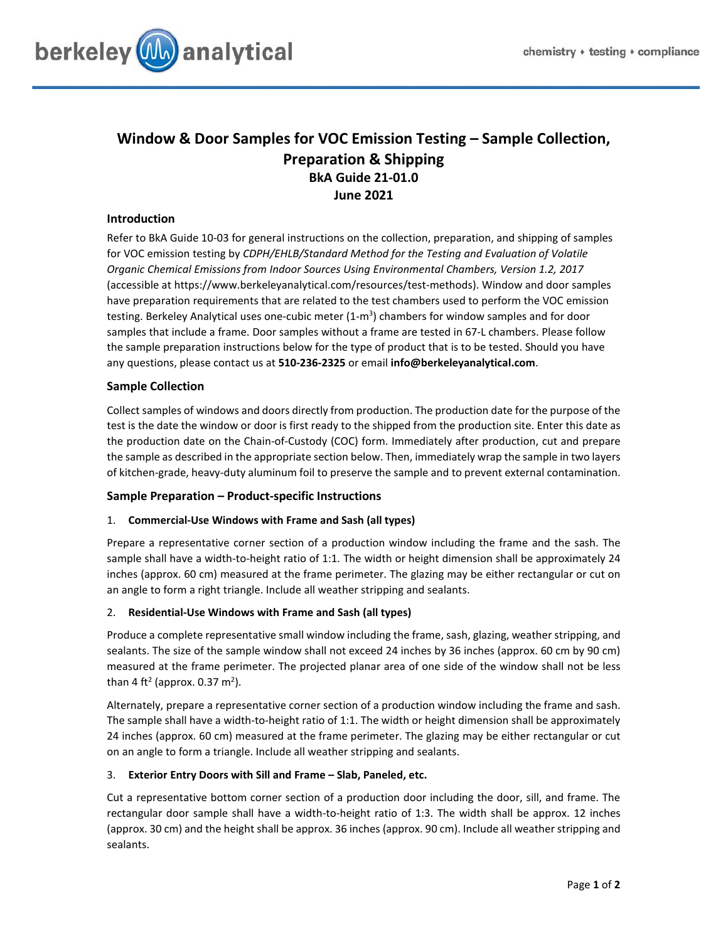

# **Window & Door Samples for VOC Emission Testing – Sample Collection, Preparation & Shipping BkA Guide 21-01.0 June 2021**

## **Introduction**

Refer to BkA Guide 10-03 for general instructions on the collection, preparation, and shipping of samples for VOC emission testing by *CDPH/EHLB/Standard Method for the Testing and Evaluation of Volatile Organic Chemical Emissions from Indoor Sources Using Environmental Chambers, Version 1.2, 2017* (accessible at https://www.berkeleyanalytical.com/resources/test-methods). Window and door samples have preparation requirements that are related to the test chambers used to perform the VOC emission testing. Berkeley Analytical uses one-cubic meter (1-m<sup>3</sup>) chambers for window samples and for door samples that include a frame. Door samples without a frame are tested in 67-L chambers. Please follow the sample preparation instructions below for the type of product that is to be tested. Should you have any questions, please contact us at **510-236-2325** or email **info@berkeleyanalytical.com**.

## **Sample Collection**

Collect samples of windows and doors directly from production. The production date for the purpose of the test is the date the window or door is first ready to the shipped from the production site. Enter this date as the production date on the Chain-of-Custody (COC) form. Immediately after production, cut and prepare the sample as described in the appropriate section below. Then, immediately wrap the sample in two layers of kitchen-grade, heavy-duty aluminum foil to preserve the sample and to prevent external contamination.

## **Sample Preparation – Product-specific Instructions**

## 1. **Commercial-Use Windows with Frame and Sash (all types)**

Prepare a representative corner section of a production window including the frame and the sash. The sample shall have a width-to-height ratio of 1:1. The width or height dimension shall be approximately 24 inches (approx. 60 cm) measured at the frame perimeter. The glazing may be either rectangular or cut on an angle to form a right triangle. Include all weather stripping and sealants.

### 2. **Residential-Use Windows with Frame and Sash (all types)**

Produce a complete representative small window including the frame, sash, glazing, weather stripping, and sealants. The size of the sample window shall not exceed 24 inches by 36 inches (approx. 60 cm by 90 cm) measured at the frame perimeter. The projected planar area of one side of the window shall not be less than 4 ft<sup>2</sup> (approx. 0.37 m<sup>2</sup>).

Alternately, prepare a representative corner section of a production window including the frame and sash. The sample shall have a width-to-height ratio of 1:1. The width or height dimension shall be approximately 24 inches (approx. 60 cm) measured at the frame perimeter. The glazing may be either rectangular or cut on an angle to form a triangle. Include all weather stripping and sealants.

### 3. **Exterior Entry Doors with Sill and Frame – Slab, Paneled, etc.**

Cut a representative bottom corner section of a production door including the door, sill, and frame. The rectangular door sample shall have a width-to-height ratio of 1:3. The width shall be approx. 12 inches (approx. 30 cm) and the height shall be approx. 36 inches (approx. 90 cm). Include all weather stripping and sealants.